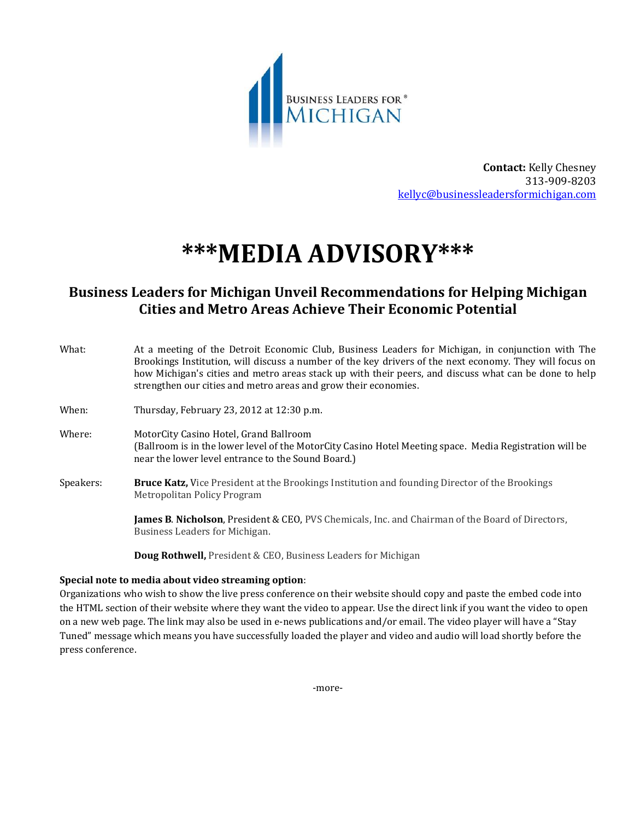

**Contact:** Kelly Chesney 313-909-8203  [kellyc@businessleadersformichigan.com](mailto:kellyc@businessleadersformichigan.com)

# **\*\*\*MEDIA ADVISORY\*\*\***

# **Business Leaders for Michigan Unveil Recommendations for Helping Michigan Cities and Metro Areas Achieve Their Economic Potential**

| What:     | At a meeting of the Detroit Economic Club, Business Leaders for Michigan, in conjunction with The<br>Brookings Institution, will discuss a number of the key drivers of the next economy. They will focus on<br>how Michigan's cities and metro areas stack up with their peers, and discuss what can be done to help<br>strengthen our cities and metro areas and grow their economies. |
|-----------|------------------------------------------------------------------------------------------------------------------------------------------------------------------------------------------------------------------------------------------------------------------------------------------------------------------------------------------------------------------------------------------|
| When:     | Thursday, February 23, 2012 at 12:30 p.m.                                                                                                                                                                                                                                                                                                                                                |
| Where:    | MotorCity Casino Hotel, Grand Ballroom<br>(Ballroom is in the lower level of the MotorCity Casino Hotel Meeting space. Media Registration will be<br>near the lower level entrance to the Sound Board.)                                                                                                                                                                                  |
| Speakers: | <b>Bruce Katz, Vice President at the Brookings Institution and founding Director of the Brookings</b><br>Metropolitan Policy Program                                                                                                                                                                                                                                                     |
|           | <b>James B. Nicholson, President &amp; CEO, PVS Chemicals, Inc. and Chairman of the Board of Directors,</b><br>Business Leaders for Michigan.                                                                                                                                                                                                                                            |
|           |                                                                                                                                                                                                                                                                                                                                                                                          |

**Doug Rothwell,** President & CEO, Business Leaders for Michigan

## **Special note to media about video streaming option**:

Organizations who wish to show the live press conference on their website should copy and paste the embed code into the HTML section of their website where they want the video to appear. Use the direct link if you want the video to open on a new web page. The link may also be used in e-news publications and/or email. The video player will have a "Stay Tuned" message which means you have successfully loaded the player and video and audio will load shortly before the press conference.

-more-